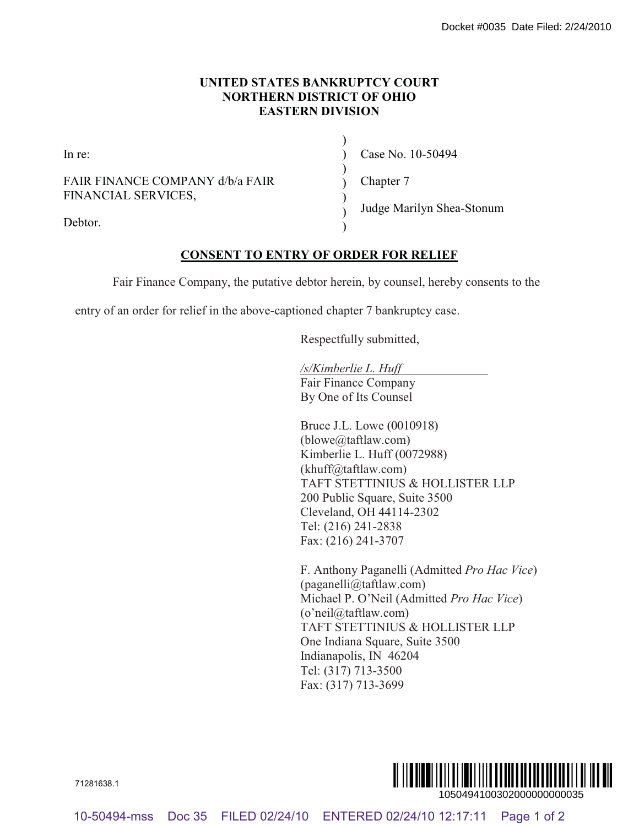## **UNITED STATES BANKRUPTCY COURT NORTHERN DISTRICT OF OHIO EASTERN DIVISION**

 $\lambda$  $\lambda$ ) ) ) ) )

In re:

FAIR FINANCE COMPANY d/b/a FAIR FINANCIAL SERVICES,

Case No. 10-50494

Chapter 7

Debtor.

Judge Marilyn Shea-Stonum

## **CONSENT TO ENTRY OF ORDER FOR RELIEF**

Fair Finance Company, the putative debtor herein, by counsel, hereby consents to the

entry of an order for relief in the above-captioned chapter 7 bankruptcy case.

Respectfully submitted,

*/s/Kimberlie L. Huff* Fair Finance Company By One of Its Counsel

Bruce J.L. Lowe (0010918) (blowe@taftlaw.com) Kimberlie L. Huff (0072988) (khuff@taftlaw.com) TAFT STETTINIUS & HOLLISTER LLP 200 Public Square, Suite 3500 Cleveland, OH 44114-2302 Tel: (216) 241-2838 Fax: (216) 241-3707

F. Anthony Paganelli (Admitted *Pro Hac Vice*) (paganelli@taftlaw.com) Michael P. O'Neil (Admitted *Pro Hac Vice*) (o'neil@taftlaw.com) TAFT STETTINIUS & HOLLISTER LLP One Indiana Square, Suite 3500 Indianapolis, IN 46204 Tel: (317) 713-3500 Fax: (317) 713-3699 10-60494-mss Docket and Society COLAT<br>
10-60494-mss Docket COMPANY chea FAIR<br>
10-604-ms<br>
DOCSENT TO EXTERN DEVISORY<br>
10-404-MANCAL SERVICES,<br>
20-48-MANCAL SERVICES,<br>
20-48-MANCAL SERVICES,<br>
20-48-MANCAL SERVICES,<br>
20-48-M